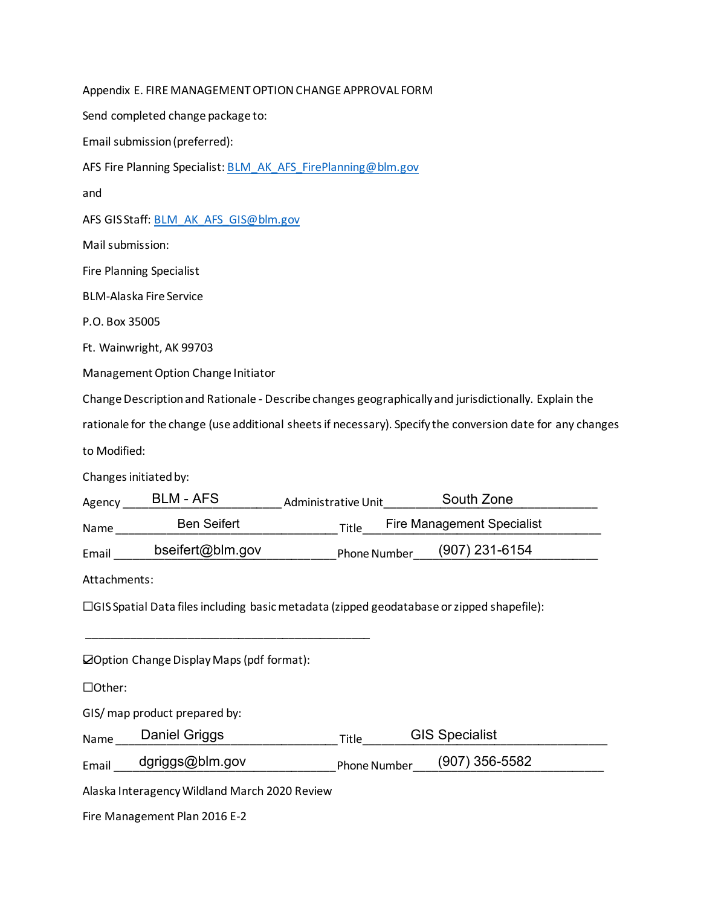| Appendix E. FIRE MANAGEMENT OPTION CHANGE APPROVAL FORM                                                    |  |  |  |  |
|------------------------------------------------------------------------------------------------------------|--|--|--|--|
| Send completed change package to:                                                                          |  |  |  |  |
| Email submission (preferred):                                                                              |  |  |  |  |
| AFS Fire Planning Specialist: BLM AK AFS FirePlanning@blm.gov                                              |  |  |  |  |
| and                                                                                                        |  |  |  |  |
| AFS GISStaff: BLM_AK_AFS_GIS@blm.gov                                                                       |  |  |  |  |
| Mail submission:                                                                                           |  |  |  |  |
| <b>Fire Planning Specialist</b>                                                                            |  |  |  |  |
| <b>BLM-Alaska Fire Service</b>                                                                             |  |  |  |  |
| P.O. Box 35005                                                                                             |  |  |  |  |
| Ft. Wainwright, AK 99703                                                                                   |  |  |  |  |
| Management Option Change Initiator                                                                         |  |  |  |  |
| Change Description and Rationale - Describe changes geographically and jurisdictionally. Explain the       |  |  |  |  |
| rationale for the change (use additional sheets if necessary). Specify the conversion date for any changes |  |  |  |  |
|                                                                                                            |  |  |  |  |
| to Modified:                                                                                               |  |  |  |  |
| Changes initiated by:                                                                                      |  |  |  |  |
| <b>BLM - AFS</b><br>South Zone<br>Administrative Unit<br>Agency_                                           |  |  |  |  |
| <b>Ben Seifert</b><br><b>Fire Management Specialist</b><br>Title<br>Name____                               |  |  |  |  |
| bseifert@blm.gov<br>(907) 231-6154<br>Phone Number<br>Email                                                |  |  |  |  |
| Attachments:                                                                                               |  |  |  |  |
| $\Box$ GIS Spatial Data files including basic metadata (zipped geodatabase or zipped shapefile):           |  |  |  |  |
|                                                                                                            |  |  |  |  |
| ⊠Option Change Display Maps (pdf format):                                                                  |  |  |  |  |
| □Other:                                                                                                    |  |  |  |  |
| GIS/ map product prepared by:                                                                              |  |  |  |  |
| <b>Daniel Griggs</b><br><b>GIS Specialist</b><br>Name<br>Title                                             |  |  |  |  |
| dgriggs@blm.gov<br>(907) 356-5582<br>Email<br>Phone Number                                                 |  |  |  |  |

Fire Management Plan 2016 E-2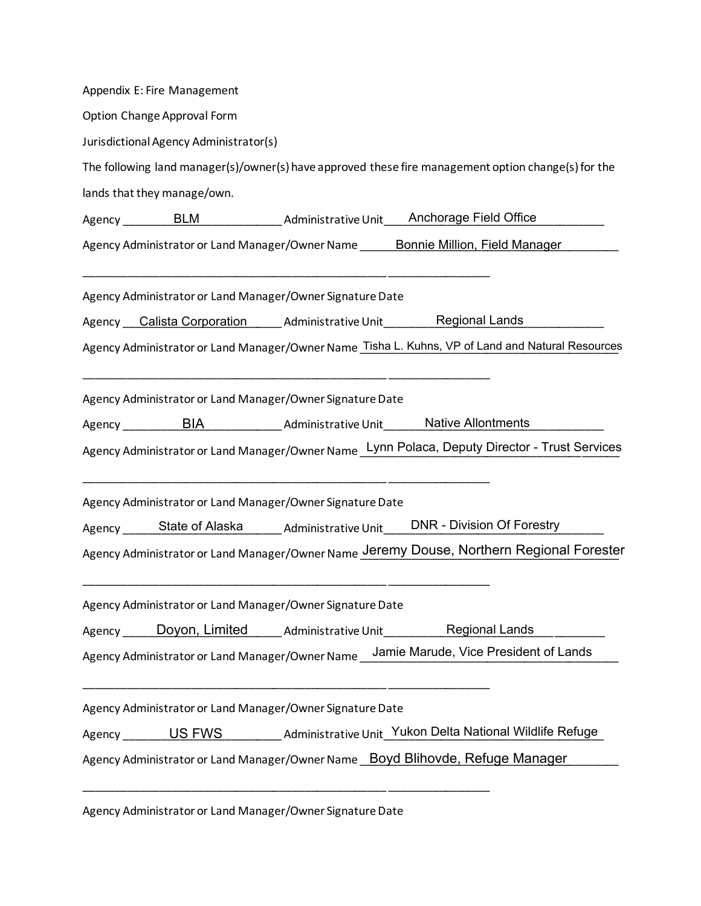| Appendix E: Fire Management                               |                                                                                                     |
|-----------------------------------------------------------|-----------------------------------------------------------------------------------------------------|
| Option Change Approval Form                               |                                                                                                     |
| Jurisdictional Agency Administrator(s)                    |                                                                                                     |
|                                                           | The following land manager(s)/owner(s) have approved these fire management option change(s) for the |
| lands that they manage/own.                               |                                                                                                     |
|                                                           |                                                                                                     |
|                                                           | Agency Administrator or Land Manager/Owner Name ______ Bonnie Million, Field Manager                |
| Agency Administrator or Land Manager/Owner Signature Date |                                                                                                     |
|                                                           | Agency Calista Corporation Administrative Unit Regional Lands                                       |
|                                                           | Agency Administrator or Land Manager/Owner Name_Tisha L. Kuhns, VP of Land and Natural Resources    |
|                                                           |                                                                                                     |
| Agency Administrator or Land Manager/Owner Signature Date |                                                                                                     |
|                                                           |                                                                                                     |
|                                                           | Agency Administrator or Land Manager/Owner Name Lynn Polaca, Deputy Director - Trust Services       |
|                                                           |                                                                                                     |
| Agency Administrator or Land Manager/Owner Signature Date |                                                                                                     |
|                                                           | Agency ______State of Alaska _______ Administrative Unit _____DNR - Division Of Forestry            |
|                                                           | Agency Administrator or Land Manager/Owner Name Jeremy Douse, Northern Regional Forester            |
|                                                           |                                                                                                     |
| Agency Administrator or Land Manager/Owner Signature Date |                                                                                                     |
|                                                           | Agency _____ Doyon, Limited _____ Administrative Unit ___________ Regional Lands ______             |
|                                                           | Agency Administrator or Land Manager/Owner Name ____Jamie Marude, Vice President of Lands           |
| Agency Administrator or Land Manager/Owner Signature Date |                                                                                                     |
|                                                           | Agency ________US FWS ___________ Administrative Unit_Yukon Delta National Wildlife Refuge          |
|                                                           | Agency Administrator or Land Manager/Owner Name _Boyd Blihovde, Refuge Manager                      |
|                                                           |                                                                                                     |
|                                                           |                                                                                                     |

Agency Administrator or Land Manager/Owner Signature Date